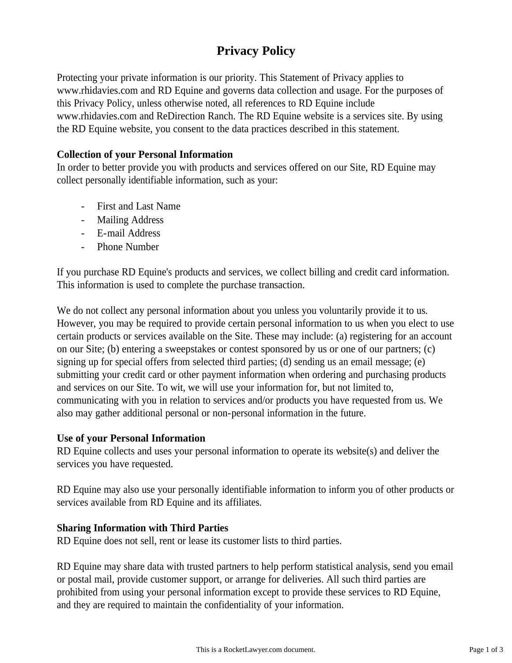# **Privacy Policy**

Protecting your private information is our priority. This Statement of Privacy applies to www.rhidavies.com and RD Equine and governs data collection and usage. For the purposes of this Privacy Policy, unless otherwise noted, all references to RD Equine include www.rhidavies.com and ReDirection Ranch. The RD Equine website is a services site. By using the RD Equine website, you consent to the data practices described in this statement.

# **Collection of your Personal Information**

In order to better provide you with products and services offered on our Site, RD Equine may collect personally identifiable information, such as your:

- First and Last Name
- Mailing Address
- E-mail Address
- Phone Number

If you purchase RD Equine's products and services, we collect billing and credit card information. This information is used to complete the purchase transaction.

We do not collect any personal information about you unless you voluntarily provide it to us. However, you may be required to provide certain personal information to us when you elect to use certain products or services available on the Site. These may include: (a) registering for an account on our Site; (b) entering a sweepstakes or contest sponsored by us or one of our partners; (c) signing up for special offers from selected third parties; (d) sending us an email message; (e) submitting your credit card or other payment information when ordering and purchasing products and services on our Site. To wit, we will use your information for, but not limited to, communicating with you in relation to services and/or products you have requested from us. We also may gather additional personal or non-personal information in the future.

# **Use of your Personal Information**

RD Equine collects and uses your personal information to operate its website(s) and deliver the services you have requested.

RD Equine may also use your personally identifiable information to inform you of other products or services available from RD Equine and its affiliates.

# **Sharing Information with Third Parties**

RD Equine does not sell, rent or lease its customer lists to third parties.

RD Equine may share data with trusted partners to help perform statistical analysis, send you email or postal mail, provide customer support, or arrange for deliveries. All such third parties are prohibited from using your personal information except to provide these services to RD Equine, and they are required to maintain the confidentiality of your information.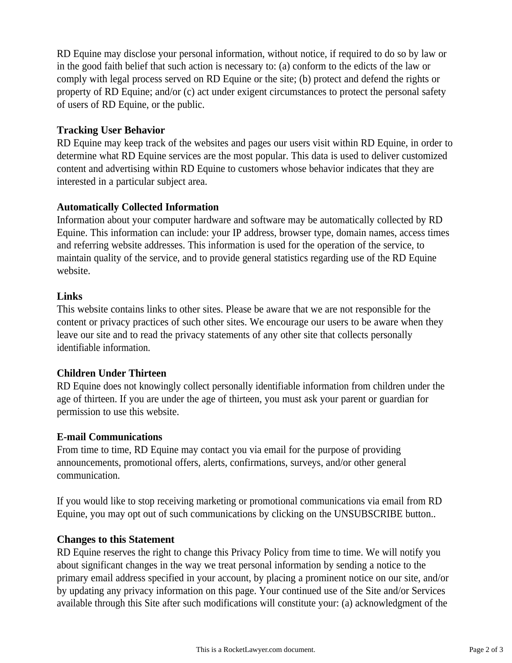RD Equine may disclose your personal information, without notice, if required to do so by law or in the good faith belief that such action is necessary to: (a) conform to the edicts of the law or comply with legal process served on RD Equine or the site; (b) protect and defend the rights or property of RD Equine; and/or (c) act under exigent circumstances to protect the personal safety of users of RD Equine, or the public.

## **Tracking User Behavior**

RD Equine may keep track of the websites and pages our users visit within RD Equine, in order to determine what RD Equine services are the most popular. This data is used to deliver customized content and advertising within RD Equine to customers whose behavior indicates that they are interested in a particular subject area.

### **Automatically Collected Information**

Information about your computer hardware and software may be automatically collected by RD Equine. This information can include: your IP address, browser type, domain names, access times and referring website addresses. This information is used for the operation of the service, to maintain quality of the service, and to provide general statistics regarding use of the RD Equine website.

#### **Links**

This website contains links to other sites. Please be aware that we are not responsible for the content or privacy practices of such other sites. We encourage our users to be aware when they leave our site and to read the privacy statements of any other site that collects personally identifiable information.

#### **Children Under Thirteen**

RD Equine does not knowingly collect personally identifiable information from children under the age of thirteen. If you are under the age of thirteen, you must ask your parent or guardian for permission to use this website.

# **E-mail Communications**

From time to time, RD Equine may contact you via email for the purpose of providing announcements, promotional offers, alerts, confirmations, surveys, and/or other general communication.

If you would like to stop receiving marketing or promotional communications via email from RD Equine, you may opt out of such communications by clicking on the UNSUBSCRIBE button..

#### **Changes to this Statement**

RD Equine reserves the right to change this Privacy Policy from time to time. We will notify you about significant changes in the way we treat personal information by sending a notice to the primary email address specified in your account, by placing a prominent notice on our site, and/or by updating any privacy information on this page. Your continued use of the Site and/or Services available through this Site after such modifications will constitute your: (a) acknowledgment of the